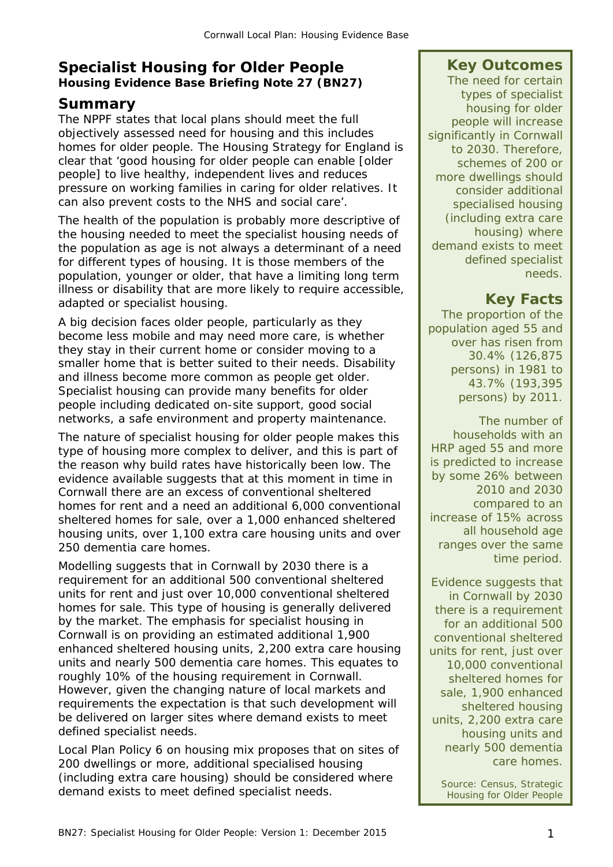#### **Specialist Housing for Older People Housing Evidence Base Briefing Note 27 (BN27)**

#### **Summary**

The NPPF states that local plans should meet the full objectively assessed need for housing and this includes homes for older people. The Housing Strategy for England is clear that 'good housing for older people can enable [older people] to live healthy, independent lives and reduces pressure on working families in caring for older relatives. It can also prevent costs to the NHS and social care'.

The health of the population is probably more descriptive of the housing needed to meet the specialist housing needs of the population as age is not always a determinant of a need for different types of housing. It is those members of the population, younger or older, that have a limiting long term illness or disability that are more likely to require accessible, adapted or specialist housing.

A big decision faces older people, particularly as they become less mobile and may need more care, is whether they stay in their current home or consider moving to a smaller home that is better suited to their needs. Disability and illness become more common as people get older. Specialist housing can provide many benefits for older people including dedicated on-site support, good social networks, a safe environment and property maintenance.

The nature of specialist housing for older people makes this type of housing more complex to deliver, and this is part of the reason why build rates have historically been low. The evidence available suggests that at this moment in time in Cornwall there are an excess of conventional sheltered homes for rent and a need an additional 6,000 conventional sheltered homes for sale, over a 1,000 enhanced sheltered housing units, over 1,100 extra care housing units and over 250 dementia care homes.

Modelling suggests that in Cornwall by 2030 there is a requirement for an additional 500 conventional sheltered units for rent and just over 10,000 conventional sheltered homes for sale. This type of housing is generally delivered by the market. The emphasis for specialist housing in Cornwall is on providing an estimated additional 1,900 enhanced sheltered housing units, 2,200 extra care housing units and nearly 500 dementia care homes. This equates to roughly 10% of the housing requirement in Cornwall. However, given the changing nature of local markets and requirements the expectation is that such development will be delivered on larger sites where demand exists to meet defined specialist needs.

Local Plan Policy 6 on housing mix proposes that on sites of 200 dwellings or more, additional specialised housing (including extra care housing) should be considered where demand exists to meet defined specialist needs.

#### **Key Outcomes**

The need for certain types of specialist housing for older people will increase significantly in Cornwall to 2030. Therefore, schemes of 200 or more dwellings should consider additional specialised housing (including extra care housing) where demand exists to meet defined specialist needs.

## **Key Facts**

The proportion of the population aged 55 and over has risen from 30.4% (126,875 persons) in 1981 to 43.7% (193,395 persons) by 2011.

The number of households with an HRP aged 55 and more is predicted to increase by some 26% between 2010 and 2030 compared to an increase of 15% across all household age ranges over the same time period.

Evidence suggests that in Cornwall by 2030 there is a requirement for an additional 500 conventional sheltered units for rent, just over 10,000 conventional sheltered homes for sale, 1,900 enhanced sheltered housing units, 2,200 extra care housing units and nearly 500 dementia care homes.

*Source: Census, Strategic Housing for Older People*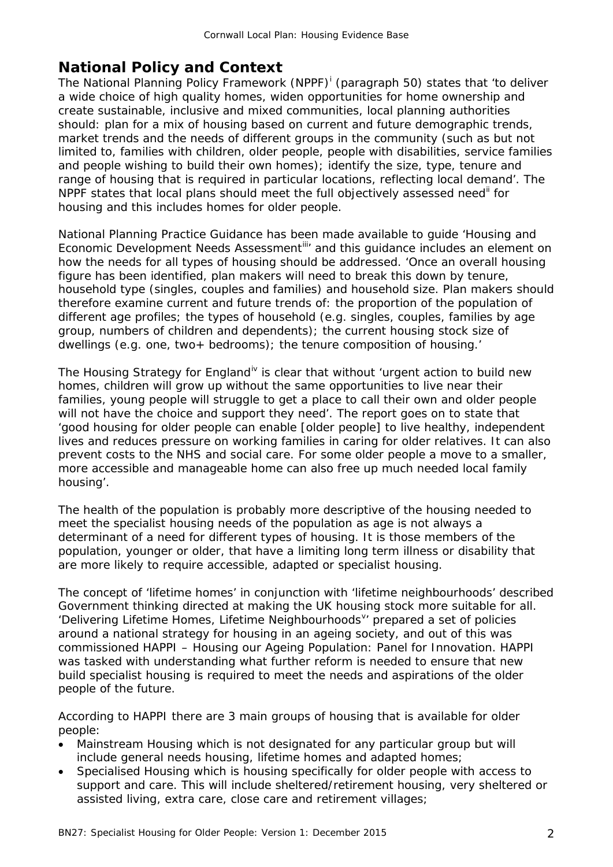### **National Policy and Context**

The Nat[i](#page-16-0)onal Planning Policy Framework (NPPF)<sup>i</sup> (paragraph 50) states that 'to deliver a wide choice of high quality homes, widen opportunities for home ownership and create sustainable, inclusive and mixed communities, local planning authorities should: plan for a mix of housing based on current and future demographic trends, market trends and the needs of different groups in the community (such as but not limited to, families with children, older people, people with disabilities, service families and people wishing to build their own homes); identify the size, type, tenure and range of housing that is required in particular locations, reflecting local demand'. The NPPF states that local plans should meet the full objectively assessed need<sup>[ii](#page-16-1)</sup> for housing and this includes homes for older people.

National Planning Practice Guidance has been made available to guide 'Housing and Economic Development Needs Assessment<sup>[iii](#page-16-2)</sup> and this guidance includes an element on how the needs for all types of housing should be addressed. 'Once an overall housing figure has been identified, plan makers will need to break this down by tenure, household type (singles, couples and families) and household size. Plan makers should therefore examine current and future trends of: the proportion of the population of different age profiles; the types of household (e.g. singles, couples, families by age group, numbers of children and dependents); the current housing stock size of dwellings (e.g. one, two+ bedrooms); the tenure composition of housing.'

The Housing Strategy for England<sup>[iv](#page-16-3)</sup> is clear that without 'urgent action to build new homes, children will grow up without the same opportunities to live near their families, young people will struggle to get a place to call their own and older people will not have the choice and support they need'. The report goes on to state that 'good housing for older people can enable [older people] to live healthy, independent lives and reduces pressure on working families in caring for older relatives. It can also prevent costs to the NHS and social care. For some older people a move to a smaller, more accessible and manageable home can also free up much needed local family housing'.

The health of the population is probably more descriptive of the housing needed to meet the specialist housing needs of the population as age is not always a determinant of a need for different types of housing. It is those members of the population, younger or older, that have a limiting long term illness or disability that are more likely to require accessible, adapted or specialist housing.

The concept of 'lifetime homes' in conjunction with 'lifetime neighbourhoods' described Government thinking directed at making the UK housing stock more suitable for all. 'Deli[v](#page-16-4)ering Lifetime Homes, Lifetime Neighbourhoods<sup>v</sup>' prepared a set of policies around a national strategy for housing in an ageing society, and out of this was commissioned HAPPI – Housing our Ageing Population: Panel for Innovation. HAPPI was tasked with understanding what further reform is needed to ensure that new build specialist housing is required to meet the needs and aspirations of the older people of the future.

According to HAPPI there are 3 main groups of housing that is available for older people:

- Mainstream Housing which is not designated for any particular group but will include general needs housing, lifetime homes and adapted homes;
- Specialised Housing which is housing specifically for older people with access to support and care. This will include sheltered/retirement housing, very sheltered or assisted living, extra care, close care and retirement villages;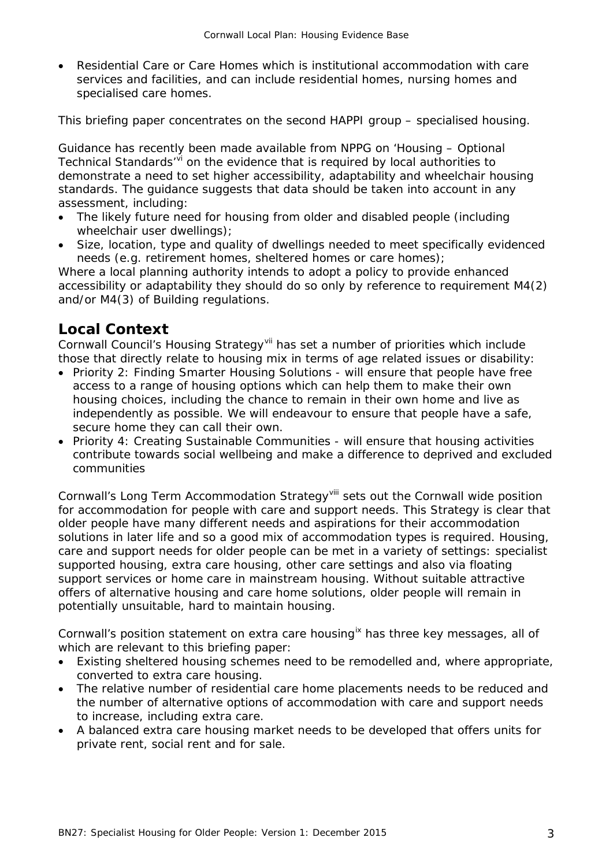• Residential Care or Care Homes which is institutional accommodation with care services and facilities, and can include residential homes, nursing homes and specialised care homes.

This briefing paper concentrates on the second HAPPI group – specialised housing.

Guidance has recently been made available from NPPG on 'Housing – Optional Technical Standards'[vi](#page-17-0) on the evidence that is required by local authorities to demonstrate a need to set higher accessibility, adaptability and wheelchair housing standards. The guidance suggests that data should be taken into account in any assessment, including:

- The likely future need for housing from older and disabled people (including wheelchair user dwellings);
- Size, location, type and quality of dwellings needed to meet specifically evidenced needs (e.g. retirement homes, sheltered homes or care homes);

Where a local planning authority intends to adopt a policy to provide enhanced accessibility or adaptability they should do so only by reference to requirement M4(2) and/or M4(3) of Building regulations.

#### **Local Context**

Cornwall Council's Housing Strategy[vii](#page-17-1) has set a number of priorities which include those that directly relate to housing mix in terms of age related issues or disability:

- Priority 2: Finding Smarter Housing Solutions will ensure that people have free access to a range of housing options which can help them to make their own housing choices, including the chance to remain in their own home and live as independently as possible. We will endeavour to ensure that people have a safe, secure home they can call their own.
- Priority 4: Creating Sustainable Communities will ensure that housing activities contribute towards social wellbeing and make a difference to deprived and excluded communities

Cornwall's Long Term Accommodation Strategy<sup>[viii](#page-17-2)</sup> sets out the Cornwall wide position for accommodation for people with care and support needs. This Strategy is clear that older people have many different needs and aspirations for their accommodation solutions in later life and so a good mix of accommodation types is required. Housing, care and support needs for older people can be met in a variety of settings: specialist supported housing, extra care housing, other care settings and also via floating support services or home care in mainstream housing. Without suitable attractive offers of alternative housing and care home solutions, older people will remain in potentially unsuitable, hard to maintain housing.

Cornwall's position statement on extra care housing<sup>[ix](#page-17-3)</sup> has three key messages, all of which are relevant to this briefing paper:

- Existing sheltered housing schemes need to be remodelled and, where appropriate, converted to extra care housing.
- The relative number of residential care home placements needs to be reduced and the number of alternative options of accommodation with care and support needs to increase, including extra care.
- A balanced extra care housing market needs to be developed that offers units for private rent, social rent and for sale.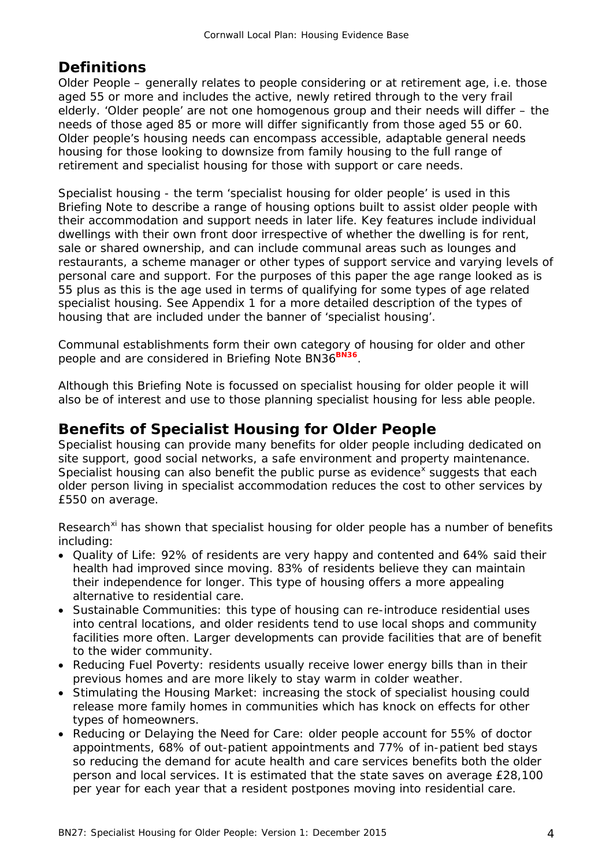# **Definitions**

Older People – generally relates to people considering or at retirement age, i.e. those aged 55 or more and includes the active, newly retired through to the very frail elderly. 'Older people' are not one homogenous group and their needs will differ – the needs of those aged 85 or more will differ significantly from those aged 55 or 60. Older people's housing needs can encompass accessible, adaptable general needs housing for those looking to downsize from family housing to the full range of retirement and specialist housing for those with support or care needs.

Specialist housing - the term 'specialist housing for older people' is used in this Briefing Note to describe a range of housing options built to assist older people with their accommodation and support needs in later life. Key features include individual dwellings with their own front door irrespective of whether the dwelling is for rent, sale or shared ownership, and can include communal areas such as lounges and restaurants, a scheme manager or other types of support service and varying levels of personal care and support. For the purposes of this paper the age range looked as is 55 plus as this is the age used in terms of qualifying for some types of age related specialist housing. See Appendix 1 for a more detailed description of the types of housing that are included under the banner of 'specialist housing'.

Communal establishments form their own category of housing for older and other people and are considered in Briefing Note BN36<sup>BN36</sup>.

Although this Briefing Note is focussed on specialist housing for older people it will also be of interest and use to those planning specialist housing for less able people.

#### **Benefits of Specialist Housing for Older People**

Specialist housing can provide many benefits for older people including dedicated on site support, good social networks, a safe environment and property maintenance. Specialist housing can also benefit the public purse as evidence<sup>[x](#page-17-4)</sup> suggests that each older person living in specialist accommodation reduces the cost to other services by £550 on average.

Research<sup>[xi](#page-17-5)</sup> has shown that specialist housing for older people has a number of benefits including:

- Quality of Life: 92% of residents are very happy and contented and 64% said their health had improved since moving. 83% of residents believe they can maintain their independence for longer. This type of housing offers a more appealing alternative to residential care.
- Sustainable Communities: this type of housing can re-introduce residential uses into central locations, and older residents tend to use local shops and community facilities more often. Larger developments can provide facilities that are of benefit to the wider community.
- Reducing Fuel Poverty: residents usually receive lower energy bills than in their previous homes and are more likely to stay warm in colder weather.
- Stimulating the Housing Market: increasing the stock of specialist housing could release more family homes in communities which has knock on effects for other types of homeowners.
- Reducing or Delaying the Need for Care: older people account for 55% of doctor appointments, 68% of out-patient appointments and 77% of in-patient bed stays so reducing the demand for acute health and care services benefits both the older person and local services. It is estimated that the state saves on average £28,100 per year for each year that a resident postpones moving into residential care.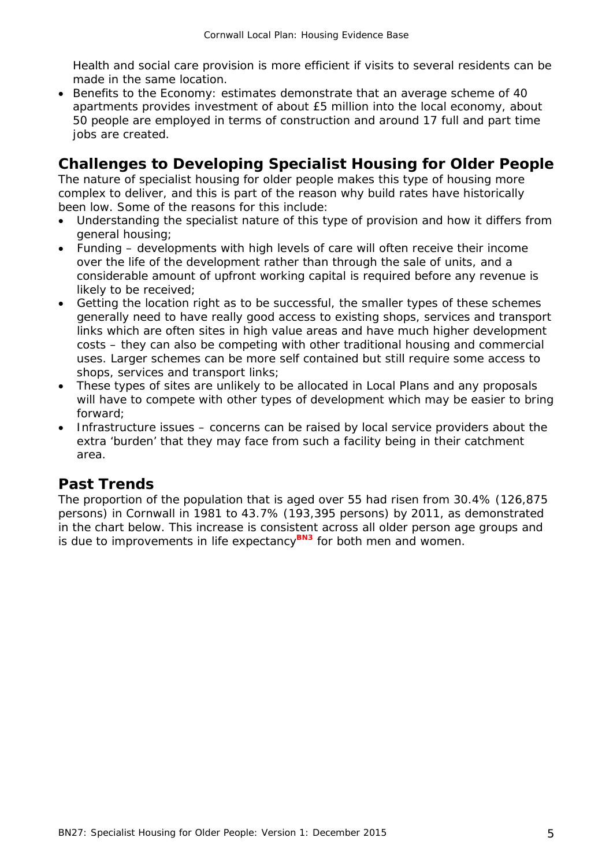Health and social care provision is more efficient if visits to several residents can be made in the same location.

• Benefits to the Economy: estimates demonstrate that an average scheme of 40 apartments provides investment of about £5 million into the local economy, about 50 people are employed in terms of construction and around 17 full and part time jobs are created.

## **Challenges to Developing Specialist Housing for Older People**

The nature of specialist housing for older people makes this type of housing more complex to deliver, and this is part of the reason why build rates have historically been low. Some of the reasons for this include:

- Understanding the specialist nature of this type of provision and how it differs from general housing;
- Funding developments with high levels of care will often receive their income over the life of the development rather than through the sale of units, and a considerable amount of upfront working capital is required before any revenue is likely to be received;
- Getting the location right as to be successful, the smaller types of these schemes generally need to have really good access to existing shops, services and transport links which are often sites in high value areas and have much higher development costs – they can also be competing with other traditional housing and commercial uses. Larger schemes can be more self contained but still require some access to shops, services and transport links;
- These types of sites are unlikely to be allocated in Local Plans and any proposals will have to compete with other types of development which may be easier to bring forward;
- Infrastructure issues concerns can be raised by local service providers about the extra 'burden' that they may face from such a facility being in their catchment area.

## **Past Trends**

The proportion of the population that is aged over 55 had risen from 30.4% (126,875 persons) in Cornwall in 1981 to 43.7% (193,395 persons) by 2011, as demonstrated in the chart below. This increase is consistent across all older person age groups and is due to improvements in life expectancy**BN3** for both men and women.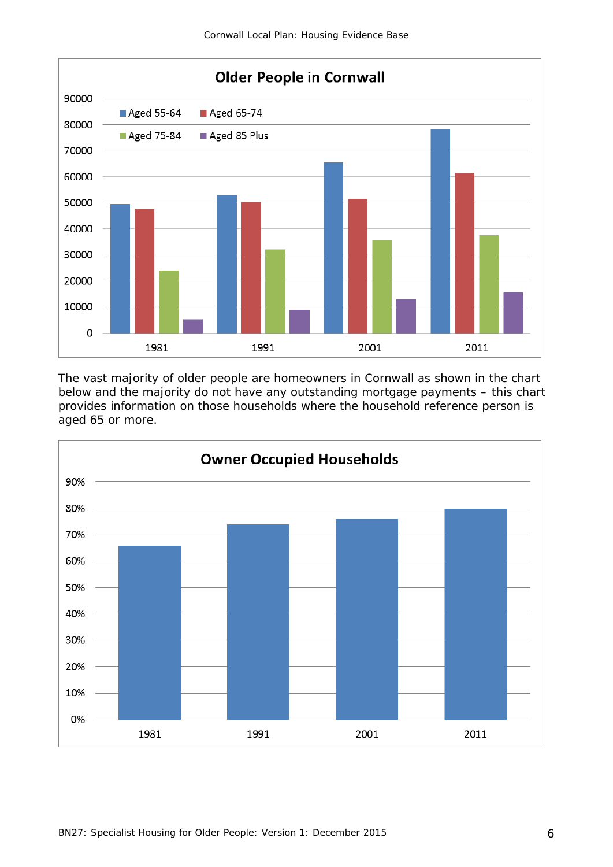

The vast majority of older people are homeowners in Cornwall as shown in the chart below and the majority do not have any outstanding mortgage payments – this chart provides information on those households where the household reference person is aged 65 or more.

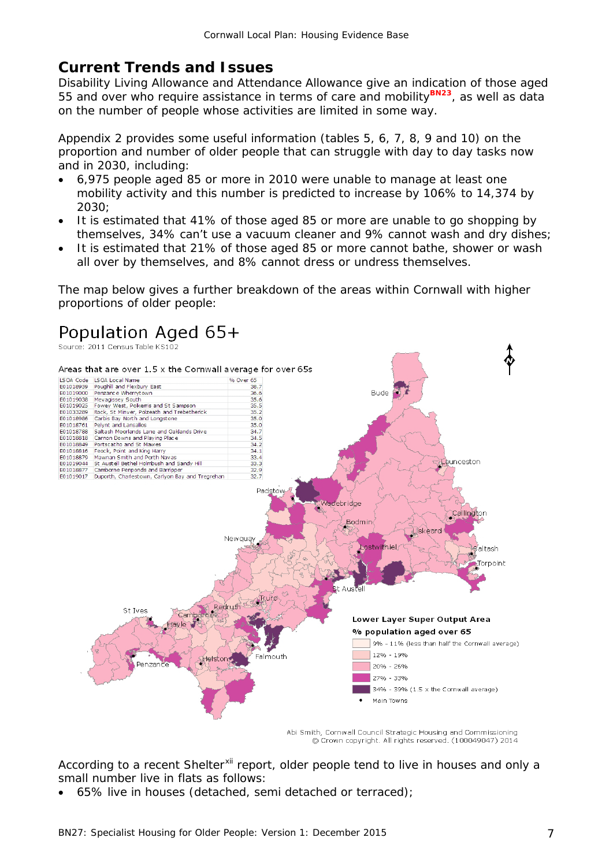# **Current Trends and Issues**

Disability Living Allowance and Attendance Allowance give an indication of those aged 55 and over who require assistance in terms of care and mobility<sup>BN23</sup>, as well as data on the number of people whose activities are limited in some way.

Appendix 2 provides some useful information (tables 5, 6, 7, 8, 9 and 10) on the proportion and number of older people that can struggle with day to day tasks now and in 2030, including:

- 6,975 people aged 85 or more in 2010 were unable to manage at least one mobility activity and this number is predicted to increase by 106% to 14,374 by 2030;
- It is estimated that 41% of those aged 85 or more are unable to go shopping by themselves, 34% can't use a vacuum cleaner and 9% cannot wash and dry dishes;
- It is estimated that 21% of those aged 85 or more cannot bathe, shower or wash all over by themselves, and 8% cannot dress or undress themselves.

The map below gives a further breakdown of the areas within Cornwall with higher proportions of older people:



Abi Smith, Cornwall Council Strategic Housing and Commissioning © Crown copyright. All rights reserved. (100049047) 2014

According to a recent Shelter<sup>[xii](#page-17-6)</sup> report, older people tend to live in houses and only a small number live in flats as follows:

• 65% live in houses (detached, semi detached or terraced);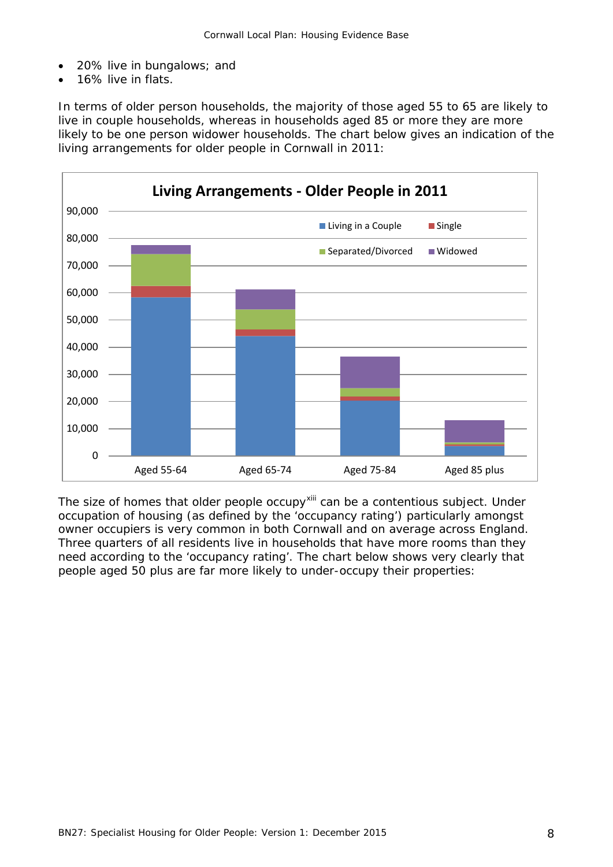- 20% live in bungalows; and
- 16% live in flats.

In terms of older person households, the majority of those aged 55 to 65 are likely to live in couple households, whereas in households aged 85 or more they are more likely to be one person widower households. The chart below gives an indication of the living arrangements for older people in Cornwall in 2011:



The size of homes that older people occupy<sup>[xiii](#page-17-7)</sup> can be a contentious subject. Under occupation of housing (as defined by the 'occupancy rating') particularly amongst owner occupiers is very common in both Cornwall and on average across England. Three quarters of all residents live in households that have more rooms than they need according to the 'occupancy rating'. The chart below shows very clearly that people aged 50 plus are far more likely to under-occupy their properties: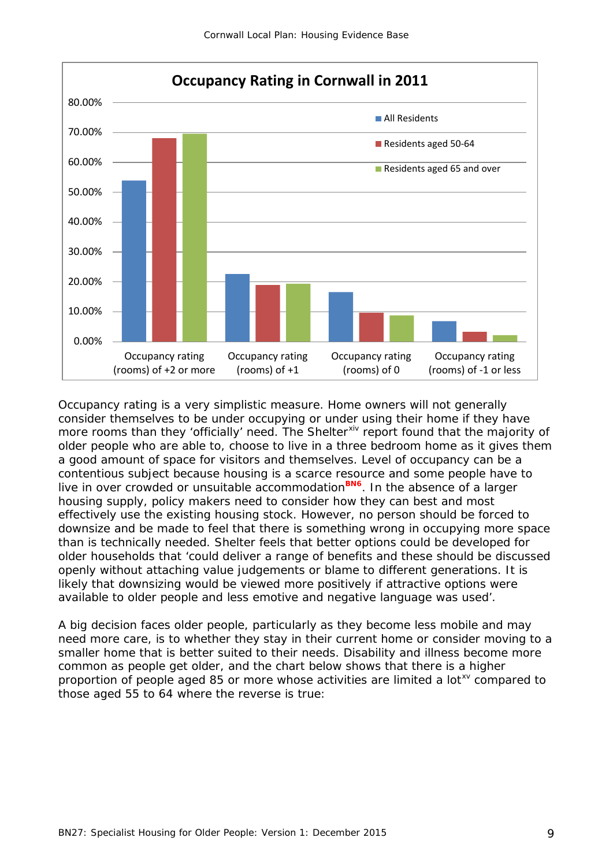

Occupancy rating is a very simplistic measure. Home owners will not generally consider themselves to be under occupying or under using their home if they have more rooms than they 'officially' need. The Shelter<sup>[xiv](#page-17-8)</sup> report found that the majority of older people who are able to, choose to live in a three bedroom home as it gives them a good amount of space for visitors and themselves. Level of occupancy can be a contentious subject because housing is a scarce resource and some people have to live in over crowded or unsuitable accommodation**BN6**. In the absence of a larger housing supply, policy makers need to consider how they can best and most effectively use the existing housing stock. However, no person should be forced to downsize and be made to feel that there is something wrong in occupying more space than is technically needed. Shelter feels that better options could be developed for older households that 'could deliver a range of benefits and these should be discussed openly without attaching value judgements or blame to different generations. It is likely that downsizing would be viewed more positively if attractive options were available to older people and less emotive and negative language was used'.

A big decision faces older people, particularly as they become less mobile and may need more care, is to whether they stay in their current home or consider moving to a smaller home that is better suited to their needs. Disability and illness become more common as people get older, and the chart below shows that there is a higher proportion of people aged 85 or more whose activities are limited a lot<sup>[xv](#page-17-9)</sup> compared to those aged 55 to 64 where the reverse is true: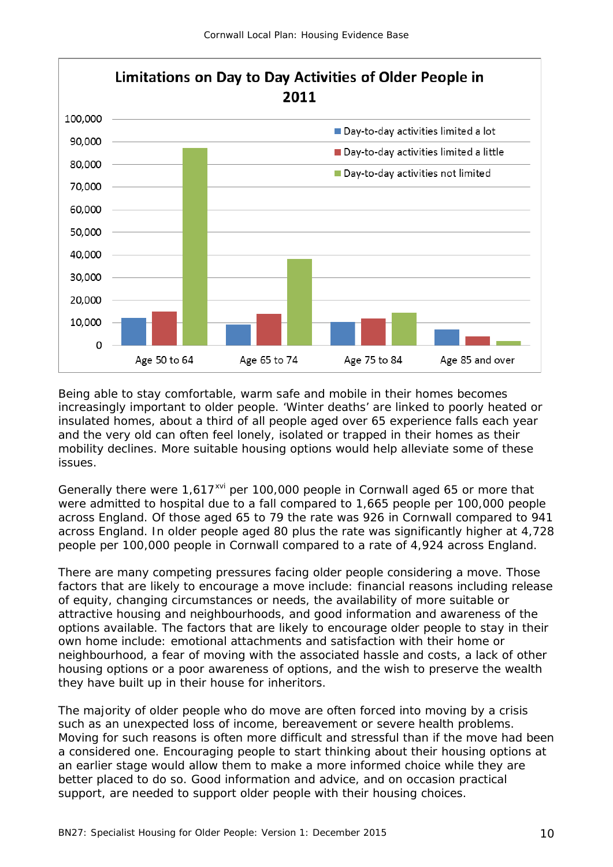

Being able to stay comfortable, warm safe and mobile in their homes becomes increasingly important to older people. 'Winter deaths' are linked to poorly heated or insulated homes, about a third of all people aged over 65 experience falls each year and the very old can often feel lonely, isolated or trapped in their homes as their mobility declines. More suitable housing options would help alleviate some of these issues.

Generally there were 1,617<sup>[xvi](#page-17-10)</sup> per 100,000 people in Cornwall aged 65 or more that were admitted to hospital due to a fall compared to 1,665 people per 100,000 people across England. Of those aged 65 to 79 the rate was 926 in Cornwall compared to 941 across England. In older people aged 80 plus the rate was significantly higher at 4,728 people per 100,000 people in Cornwall compared to a rate of 4,924 across England.

There are many competing pressures facing older people considering a move. Those factors that are likely to encourage a move include: financial reasons including release of equity, changing circumstances or needs, the availability of more suitable or attractive housing and neighbourhoods, and good information and awareness of the options available. The factors that are likely to encourage older people to stay in their own home include: emotional attachments and satisfaction with their home or neighbourhood, a fear of moving with the associated hassle and costs, a lack of other housing options or a poor awareness of options, and the wish to preserve the wealth they have built up in their house for inheritors.

The majority of older people who do move are often forced into moving by a crisis such as an unexpected loss of income, bereavement or severe health problems. Moving for such reasons is often more difficult and stressful than if the move had been a considered one. Encouraging people to start thinking about their housing options at an earlier stage would allow them to make a more informed choice while they are better placed to do so. Good information and advice, and on occasion practical support, are needed to support older people with their housing choices.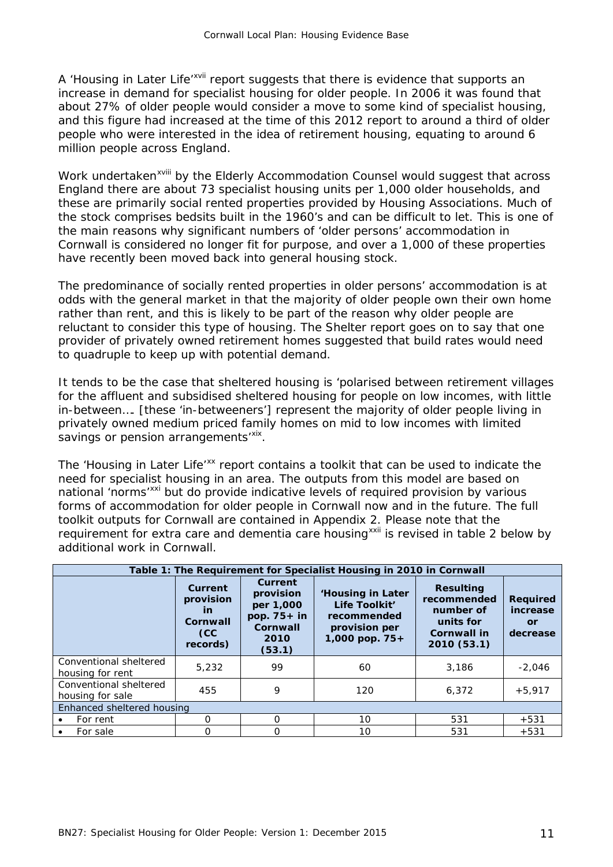A 'Housing in Later Life'<sup>[xvii](#page-17-11)</sup> report suggests that there is evidence that supports an increase in demand for specialist housing for older people. In 2006 it was found that about 27% of older people would consider a move to some kind of specialist housing, and this figure had increased at the time of this 2012 report to around a third of older people who were interested in the idea of retirement housing, equating to around 6 million people across England.

Work undertaken<sup>xv[i](#page-17-12)ii</sup> by the Elderly Accommodation Counsel would suggest that across England there are about 73 specialist housing units per 1,000 older households, and these are primarily social rented properties provided by Housing Associations. Much of the stock comprises bedsits built in the 1960's and can be difficult to let. This is one of the main reasons why significant numbers of 'older persons' accommodation in Cornwall is considered no longer fit for purpose, and over a 1,000 of these properties have recently been moved back into general housing stock.

The predominance of socially rented properties in older persons' accommodation is at odds with the general market in that the majority of older people own their own home rather than rent, and this is likely to be part of the reason why older people are reluctant to consider this type of housing. The Shelter report goes on to say that one provider of privately owned retirement homes suggested that build rates would need to quadruple to keep up with potential demand.

It tends to be the case that sheltered housing is 'polarised between retirement villages for the affluent and subsidised sheltered housing for people on low incomes, with little in-between…. [these 'in-betweeners'] represent the majority of older people living in privately owned medium priced family homes on mid to low incomes with limited savings or pension arrangements<sup>'[xix](#page-17-13)</sup>.

The 'Housing in Later Life'<sup>[xx](#page-17-14)</sup> report contains a toolkit that can be used to indicate the need for specialist housing in an area. The outputs from this model are based on national 'norms'<sup>[xxi](#page-17-15)</sup> but do provide indicative levels of required provision by various forms of accommodation for older people in Cornwall now and in the future. The full toolkit outputs for Cornwall are contained in Appendix 2. Please note that the requirement for extra care and dementia care housing<sup>[xxii](#page-17-16)</sup> is revised in table 2 below by additional work in Cornwall.

| Table 1: The Requirement for Specialist Housing in 2010 in Cornwall |                                                           |                                                                                  |                                                                                      |                                                                                         |                                               |
|---------------------------------------------------------------------|-----------------------------------------------------------|----------------------------------------------------------------------------------|--------------------------------------------------------------------------------------|-----------------------------------------------------------------------------------------|-----------------------------------------------|
|                                                                     | Current<br>provision<br>in<br>Cornwall<br>(CC<br>records) | Current<br>provision<br>per 1,000<br>pop. $75+$ in<br>Cornwall<br>2010<br>(53.1) | 'Housing in Later<br>Life Toolkit'<br>recommended<br>provision per<br>1,000 pop. 75+ | <b>Resulting</b><br>recommended<br>number of<br>units for<br>Cornwall in<br>2010 (53.1) | <b>Required</b><br>increase<br>or<br>decrease |
| Conventional sheltered<br>housing for rent                          | 5,232                                                     | 99                                                                               | 60                                                                                   | 3,186                                                                                   | $-2,046$                                      |
| Conventional sheltered<br>housing for sale                          | 455                                                       | 9                                                                                | 120                                                                                  | 6,372                                                                                   | $+5,917$                                      |
| Enhanced sheltered housing                                          |                                                           |                                                                                  |                                                                                      |                                                                                         |                                               |
| For rent                                                            | 0                                                         | $\Omega$                                                                         | 10                                                                                   | 531                                                                                     | $+531$                                        |
| For sale                                                            | O                                                         | ∩                                                                                | 10                                                                                   | 531                                                                                     | $+531$                                        |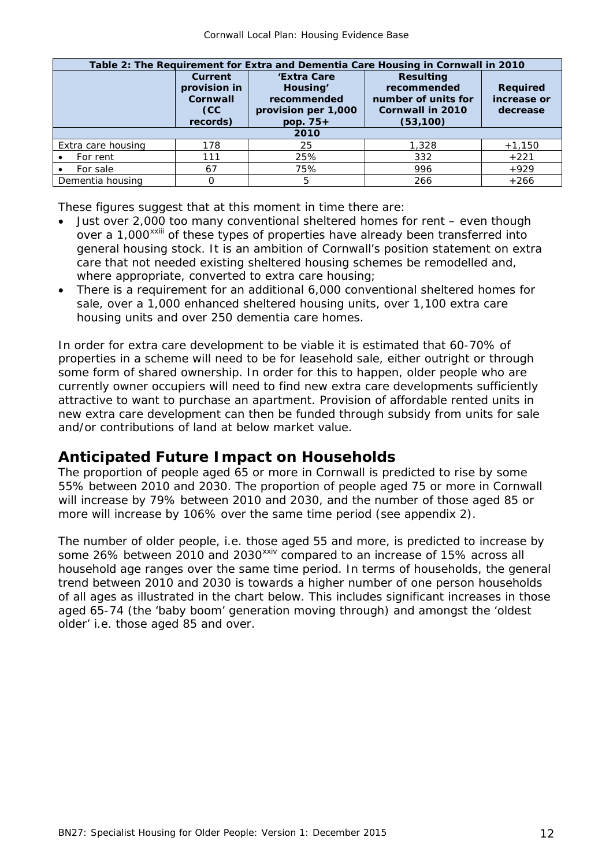| Table 2: The Requirement for Extra and Dementia Care Housing in Cornwall in 2010 |                 |                     |                         |                 |  |
|----------------------------------------------------------------------------------|-----------------|---------------------|-------------------------|-----------------|--|
|                                                                                  | <b>Current</b>  | 'Extra Care         | <b>Resulting</b>        |                 |  |
|                                                                                  | provision in    | Housing'            | recommended             | <b>Required</b> |  |
|                                                                                  | <b>Cornwall</b> | recommended         | number of units for     | increase or     |  |
|                                                                                  | CC.             | provision per 1,000 | <b>Cornwall in 2010</b> | decrease        |  |
|                                                                                  | records)        | pop. 75+            | (53, 100)               |                 |  |
| 2010                                                                             |                 |                     |                         |                 |  |
| Extra care housing                                                               | 178             | 25                  | 1,328                   | $+1,150$        |  |
| For rent                                                                         | 111             | 25%                 | 332                     | $+221$          |  |
| For sale                                                                         | 67              | 75%                 | 996                     | $+929$          |  |
| Dementia housing                                                                 |                 | 5                   | 266                     | $+266$          |  |

These figures suggest that at this moment in time there are:

- Just over 2,000 too many conventional sheltered homes for rent even though over a 1,000<sup>xx[i](#page-17-17)ii</sup> of these types of properties have already been transferred into general housing stock. It is an ambition of Cornwall's position statement on extra care that not needed existing sheltered housing schemes be remodelled and, where appropriate, converted to extra care housing;
- There is a requirement for an additional 6,000 conventional sheltered homes for sale, over a 1,000 enhanced sheltered housing units, over 1,100 extra care housing units and over 250 dementia care homes.

In order for extra care development to be viable it is estimated that 60-70% of properties in a scheme will need to be for leasehold sale, either outright or through some form of shared ownership. In order for this to happen, older people who are currently owner occupiers will need to find new extra care developments sufficiently attractive to want to purchase an apartment. Provision of affordable rented units in new extra care development can then be funded through subsidy from units for sale and/or contributions of land at below market value.

#### **Anticipated Future Impact on Households**

The proportion of people aged 65 or more in Cornwall is predicted to rise by some 55% between 2010 and 2030. The proportion of people aged 75 or more in Cornwall will increase by 79% between 2010 and 2030, and the number of those aged 85 or more will increase by 106% over the same time period (see appendix 2).

The number of older people, i.e. those aged 55 and more, is predicted to increase by some 26% between 2010 and 2030<sup>[xxiv](#page-17-18)</sup> compared to an increase of 15% across all household age ranges over the same time period. In terms of households, the general trend between 2010 and 2030 is towards a higher number of one person households of all ages as illustrated in the chart below. This includes significant increases in those aged 65-74 (the 'baby boom' generation moving through) and amongst the 'oldest older' i.e. those aged 85 and over.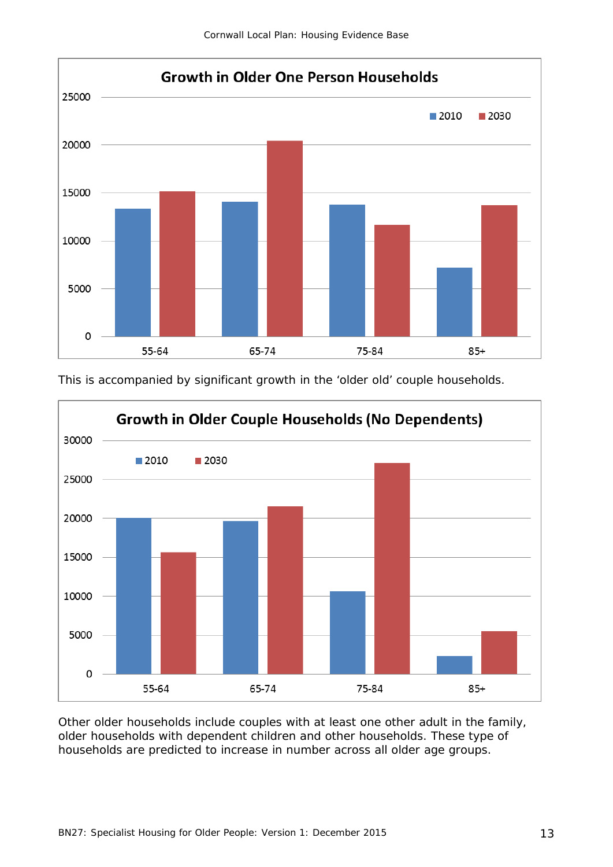





Other older households include couples with at least one other adult in the family, older households with dependent children and other households. These type of households are predicted to increase in number across all older age groups.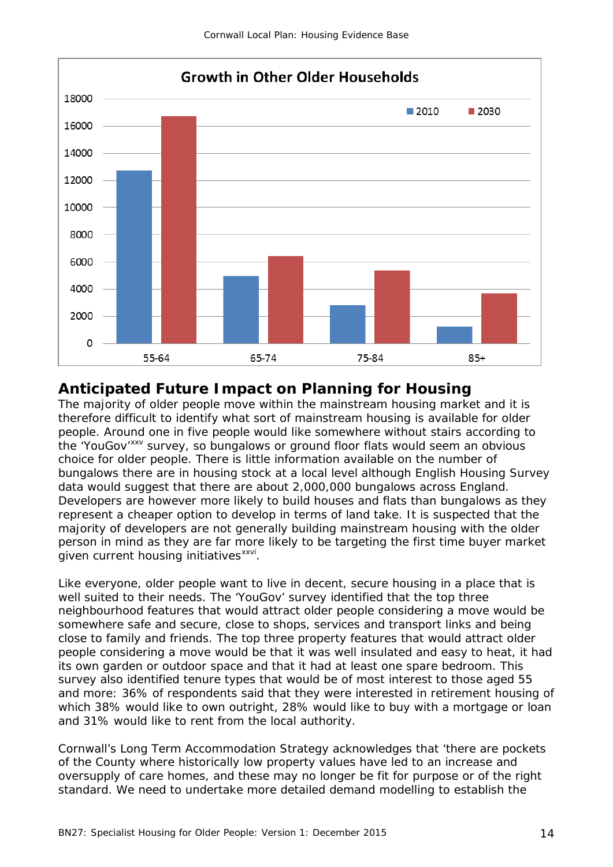

#### **Anticipated Future Impact on Planning for Housing**

The majority of older people move within the mainstream housing market and it is therefore difficult to identify what sort of mainstream housing is available for older people. Around one in five people would like somewhere without stairs according to the 'YouGov'<sup>[xxv](#page-17-19)</sup> survey, so bungalows or ground floor flats would seem an obvious choice for older people. There is little information available on the number of bungalows there are in housing stock at a local level although English Housing Survey data would suggest that there are about 2,000,000 bungalows across England. Developers are however more likely to build houses and flats than bungalows as they represent a cheaper option to develop in terms of land take. It is suspected that the majority of developers are not generally building mainstream housing with the older person in mind as they are far more likely to be targeting the first time buyer market given current housing initiatives<sup>xxvi</sup>.

Like everyone, older people want to live in decent, secure housing in a place that is well suited to their needs. The 'YouGov' survey identified that the top three neighbourhood features that would attract older people considering a move would be somewhere safe and secure, close to shops, services and transport links and being close to family and friends. The top three property features that would attract older people considering a move would be that it was well insulated and easy to heat, it had its own garden or outdoor space and that it had at least one spare bedroom. This survey also identified tenure types that would be of most interest to those aged 55 and more: 36% of respondents said that they were interested in retirement housing of which 38% would like to own outright, 28% would like to buy with a mortgage or loan and 31% would like to rent from the local authority.

Cornwall's Long Term Accommodation Strategy acknowledges that 'there are pockets of the County where historically low property values have led to an increase and oversupply of care homes, and these may no longer be fit for purpose or of the right standard. We need to undertake more detailed demand modelling to establish the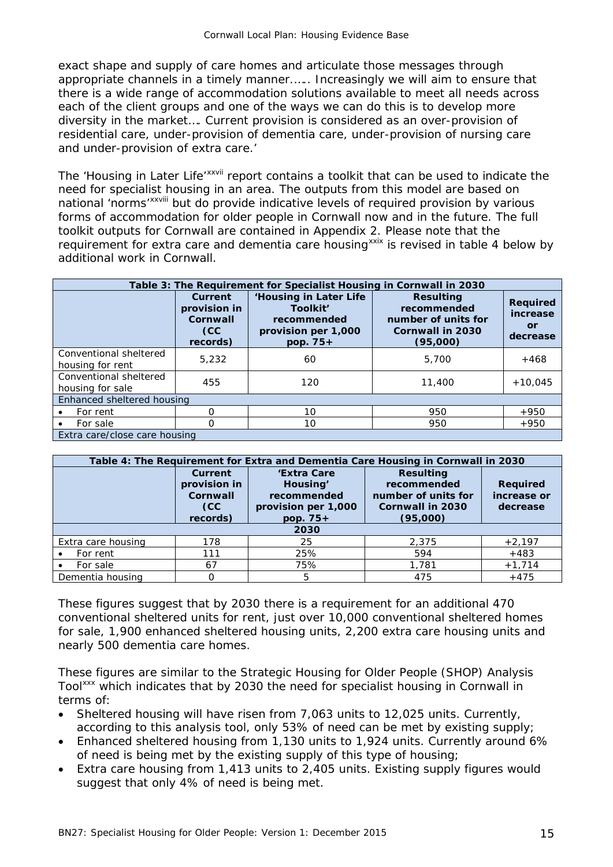exact shape and supply of care homes and articulate those messages through appropriate channels in a timely manner.….. Increasingly we will aim to ensure that there is a wide range of accommodation solutions available to meet all needs across each of the client groups and one of the ways we can do this is to develop more diversity in the market…. Current provision is considered as an over-provision of residential care, under-provision of dementia care, under-provision of nursing care and under-provision of extra care.'

The 'Housing in Late[r](#page-17-21) Life'<sup>xxvii</sup> report contains a toolkit that can be used to indicate the national 'norms'<sup>xxviii</sup> but do provide indicative levels of required provision by various need for specialist [h](#page-17-22)ousing in an area. The outputs from this model are based on forms of accommodation for older people in Cornwall now and in the future. The full toolkit outputs for Cornwall are contained in Appendix 2. Please note that the requirement for extra care and dementia care housing<sup>[xxix](#page-17-23)</sup> is revised in table 4 below by additional work in Cornwall.

| Table 3: The Requirement for Specialist Housing in Cornwall in 2030 |                                                        |                                                                                        |                                                                                               |                                                      |  |
|---------------------------------------------------------------------|--------------------------------------------------------|----------------------------------------------------------------------------------------|-----------------------------------------------------------------------------------------------|------------------------------------------------------|--|
|                                                                     | Current<br>provision in<br>Cornwall<br>CC.<br>records) | 'Housing in Later Life<br>Toolkit'<br>recommended<br>provision per 1,000<br>pop. $75+$ | <b>Resulting</b><br>recommended<br>number of units for<br><b>Cornwall in 2030</b><br>(95,000) | <b>Required</b><br>increase<br><b>or</b><br>decrease |  |
| Conventional sheltered<br>housing for rent                          | 5,232                                                  | 60                                                                                     | 5,700                                                                                         | $+468$                                               |  |
| Conventional sheltered<br>housing for sale                          | 455                                                    | 120                                                                                    | 11,400                                                                                        | $+10.045$                                            |  |
| Enhanced sheltered housing                                          |                                                        |                                                                                        |                                                                                               |                                                      |  |
| For rent                                                            | O                                                      | 10                                                                                     | 950                                                                                           | $+950$                                               |  |
| For sale                                                            | Ω                                                      | 10                                                                                     | 950                                                                                           | $+950$                                               |  |
| Extra care/close care housing                                       |                                                        |                                                                                        |                                                                                               |                                                      |  |

| Table 4: The Requirement for Extra and Dementia Care Housing in Cornwall in 2030 |                                                                   |                                                                             |                                                                                               |                                            |
|----------------------------------------------------------------------------------|-------------------------------------------------------------------|-----------------------------------------------------------------------------|-----------------------------------------------------------------------------------------------|--------------------------------------------|
|                                                                                  | Current<br>provision in<br>Cornwall<br>CC <sub></sub><br>records) | 'Extra Care<br>Housing'<br>recommended<br>provision per 1,000<br>pop. $75+$ | <b>Resulting</b><br>recommended<br>number of units for<br><b>Cornwall in 2030</b><br>(95,000) | <b>Required</b><br>increase or<br>decrease |
| 2030                                                                             |                                                                   |                                                                             |                                                                                               |                                            |
| Extra care housing                                                               | 178                                                               | 25                                                                          | 2.375                                                                                         | $+2,197$                                   |
| For rent                                                                         | 111                                                               | 25%                                                                         | 594                                                                                           | $+483$                                     |
| For sale                                                                         | 67                                                                | 75%                                                                         | 1,781                                                                                         | $+1,714$                                   |
| Dementia housing                                                                 |                                                                   | 5                                                                           | 475                                                                                           | $+475$                                     |

These figures suggest that by 2030 there is a requirement for an additional 470 conventional sheltered units for rent, just over 10,000 conventional sheltered homes for sale, 1,900 enhanced sheltered housing units, 2,200 extra care housing units and nearly 500 dementia care homes.

These figures are similar to the Strategic Housing for Older People (SHOP) Analysis Tool<sup>[xxx](#page-17-24)</sup> which indicates that by 2030 the need for specialist housing in Cornwall in terms of:

- Sheltered housing will have risen from 7,063 units to 12,025 units. Currently, according to this analysis tool, only 53% of need can be met by existing supply;
- Enhanced sheltered housing from 1,130 units to 1,924 units. Currently around 6% of need is being met by the existing supply of this type of housing;
- Extra care housing from 1,413 units to 2,405 units. Existing supply figures would suggest that only 4% of need is being met.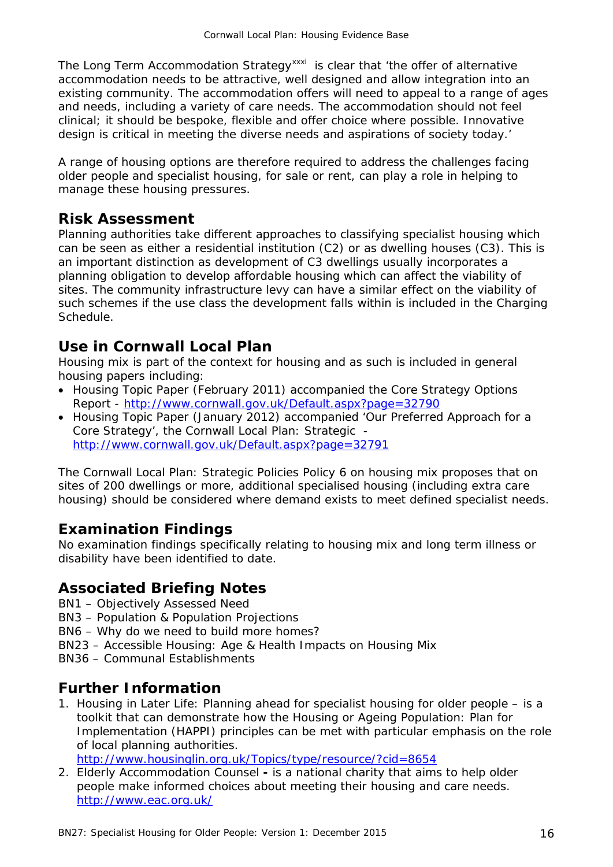The Long Term Accommodation Strategy<sup>[xxxi](#page-17-25)</sup> is clear that 'the offer of alternative accommodation needs to be attractive, well designed and allow integration into an existing community. The accommodation offers will need to appeal to a range of ages and needs, including a variety of care needs. The accommodation should not feel clinical; it should be bespoke, flexible and offer choice where possible. Innovative design is critical in meeting the diverse needs and aspirations of society today.'

A range of housing options are therefore required to address the challenges facing older people and specialist housing, for sale or rent, can play a role in helping to manage these housing pressures.

#### **Risk Assessment**

Planning authorities take different approaches to classifying specialist housing which can be seen as either a residential institution (C2) or as dwelling houses (C3). This is an important distinction as development of C3 dwellings usually incorporates a planning obligation to develop affordable housing which can affect the viability of sites. The community infrastructure levy can have a similar effect on the viability of such schemes if the use class the development falls within is included in the Charging Schedule.

## **Use in Cornwall Local Plan**

Housing mix is part of the context for housing and as such is included in general housing papers including:

- Housing Topic Paper (February 2011) accompanied the Core Strategy Options Report - <http://www.cornwall.gov.uk/Default.aspx?page=32790>
- Housing Topic Paper (January 2012) accompanied 'Our Preferred Approach for a Core Strategy', the Cornwall Local Plan: Strategic <http://www.cornwall.gov.uk/Default.aspx?page=32791>

The Cornwall Local Plan: Strategic Policies Policy 6 on housing mix proposes that on sites of 200 dwellings or more, additional specialised housing (including extra care housing) should be considered where demand exists to meet defined specialist needs.

## **Examination Findings**

No examination findings specifically relating to housing mix and long term illness or disability have been identified to date.

## **Associated Briefing Notes**

BN1 – Objectively Assessed Need

BN3 – Population & Population Projections

- BN6 Why do we need to build more homes?
- BN23 Accessible Housing: Age & Health Impacts on Housing Mix
- BN36 Communal Establishments

#### **Further Information**

1. Housing in Later Life: Planning ahead for specialist housing for older people – is a toolkit that can demonstrate how the Housing or Ageing Population: Plan for Implementation (HAPPI) principles can be met with particular emphasis on the role of local planning authorities.

<http://www.housinglin.org.uk/Topics/type/resource/?cid=8654>

2. Elderly Accommodation Counsel **-** is a national charity that aims to help older people make informed choices about meeting their housing and care needs. <http://www.eac.org.uk/>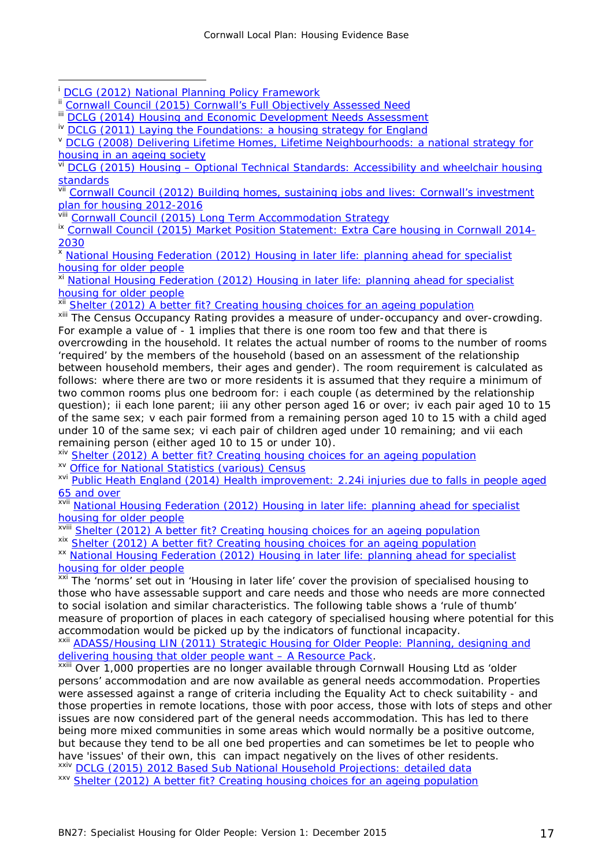Cornwall Local Plan: Housing Evidence Base

viii [Cornwall Council \(2015\) Long Term Accommodation Strategy](http://www.cornwall.gov.uk/media/13783001/long-term-accommodation-strategy.pdf)

<sup>x</sup> [National Housing Federation \(2012\) Housing in later life: planning ahead for specialist](http://www.housinglin.org.uk/Topics/type/resource/?cid=8654)  [housing for older people](http://www.housinglin.org.uk/Topics/type/resource/?cid=8654)

xi [National Housing Federation \(2012\) Housing in later life: planning](http://www.housinglin.org.uk/Topics/type/resource/?cid=8654) ahead for specialist [housing for older people](http://www.housinglin.org.uk/Topics/type/resource/?cid=8654)

xii [Shelter \(2012\) A better fit? Creating housing choices for an ageing population](http://england.shelter.org.uk/professional_resources/policy_and_research/policy_library/policy_library_folder/a_better_fit_creating_housing_choices_for_an_ageing_population)

xiii The Census Occupancy Rating provides a measure of under-occupancy and over-crowding. For example a value of - 1 implies that there is one room too few and that there is overcrowding in the household. It relates the actual number of rooms to the number of rooms 'required' by the members of the household (based on an assessment of the relationship between household members, their ages and gender). The room requirement is calculated as follows: where there are two or more residents it is assumed that they require a minimum of two common rooms plus one bedroom for: i each couple (as determined by the relationship question); ii each lone parent; iii any other person aged 16 or over; iv each pair aged 10 to 15 of the same sex; v each pair formed from a remaining person aged 10 to 15 with a child aged under 10 of the same sex; vi each pair of children aged under 10 remaining; and vii each remaining person (either aged 10 to 15 or under 10).

xiv [Shelter \(2012\) A better fit? Creating housing choices for an ageing population](http://england.shelter.org.uk/professional_resources/policy_and_research/policy_library/policy_library_folder/a_better_fit_creating_housing_choices_for_an_ageing_population) xv [Office for National Statistics \(various\)](http://www.ons.gov.uk/ons/guide-method/census/2011/index.html) Census

xvi [Public Heath England \(2014\) Health improvement: 2.24i injuries due to falls in people aged](http://www.phoutcomes.info/public-health-outcomes-framework#gid/1000041/pat/6/ati/102/page/0/par/E12000009/are/E06000022)  **[65 and over](http://www.phoutcomes.info/public-health-outcomes-framework#gid/1000041/pat/6/ati/102/page/0/par/E12000009/are/E06000022)** 

xvii [National Housing Federation \(2012\) Housing in later life: planning ahead for specialist](http://www.housinglin.org.uk/Topics/type/resource/?cid=8654)  [housing for older people](http://www.housinglin.org.uk/Topics/type/resource/?cid=8654)

xviii [Shelter \(2012\) A better fit? Creating housing choices for an ageing population](http://england.shelter.org.uk/professional_resources/policy_and_research/policy_library/policy_library_folder/a_better_fit_creating_housing_choices_for_an_ageing_population)

xix [Shelter \(2012\) A better fit? Creating housing choices for an ageing population](http://england.shelter.org.uk/professional_resources/policy_and_research/policy_library/policy_library_folder/a_better_fit_creating_housing_choices_for_an_ageing_population)

xx [National Housing Federation \(2012\) Housing in later life: planning ahead for specialist](http://www.housinglin.org.uk/Topics/type/resource/?cid=8654) [housing for older people](http://www.housinglin.org.uk/Topics/type/resource/?cid=8654)

xxi The 'norms' set out in 'Housing in later life' cover the provision of specialised housing to those who have assessable support and care needs and those who needs are more connected to social isolation and similar characteristics. The following table shows a 'rule of thumb' measure of proportion of places in each category of specialised housing where potential for this accommodation would be picked up by the indicators of functional incapacity.

xxii ADASS/Housing LIN (2011) Strategic Housing for Older People: Planning, designing and [delivering housing that older people want –](http://www.housinglin.org.uk/_library/Resources/Housing/SHOP/SHOPResourcePack.pdf) A Resource Pack.

xxiii Over 1,000 properties are no longer available through Cornwall Housing Ltd as 'older persons' accommodation and are now available as general needs accommodation. Properties were assessed against a range of criteria including the Equality Act to check suitability - and those properties in remote locations, those with poor access, those with lots of steps and other issues are now considered part of the general needs accommodation. This has led to there being more mixed communities in some areas which would normally be a positive outcome, but because they tend to be all one bed properties and can sometimes be let to people who have 'issues' of their own, this can impact negatively on the lives of other residents. xxiv DCLG (2015) 2012 [Based Sub National Household Projections: detailed data](http://www.ons.gov.uk/) xxv [Shelter \(2012\) A better fit? Creating housing choices for an ageing population](http://england.shelter.org.uk/professional_resources/policy_and_research/policy_library/policy_library_folder/a_better_fit_creating_housing_choices_for_an_ageing_population)

<sup>-</sup>[DCLG \(2012\) National Planning Policy Framework](https://www.gov.uk/government/publications/national-planning-policy-framework--2)

<span id="page-16-1"></span><span id="page-16-0"></span><sup>&</sup>lt;sup>ii</sup> [Cornwall Council \(2015\) Cornwall's Full Objectively Assessed Need](https://democracy.cornwall.gov.uk/documents/s84627/Cornwall%20Local%20Plan%20Strategic%20Policies%202010%202030%20Appendix%202.pdf)

<span id="page-16-2"></span><sup>&</sup>lt;sup>iii</sup> [DCLG \(2014\) Housing and Economic Development Needs Assessment](http://planningguidance.planningportal.gov.uk/blog/guidance/assessment-of-housing-and-economic-development-needs/what-is-the-purpose-of-the-assessment-of-housing-and-economic-development-needs-guidance/)

<span id="page-16-3"></span><sup>&</sup>lt;sup>iv</sup> [DCLG \(2011\) Laying the Foundations: a housing strategy for England](https://www.gov.uk/government/publications/laying-the-foundations-a-housing-strategy-for-england--2)

<span id="page-16-4"></span>v DCLG (2008) Delivering Lifetime Homes, Lifetime Neighbourhoods: a national strategy for [housing in an ageing society](http://webarchive.nationalarchives.gov.uk/20120919132719/http:/www.communities.gov.uk/documents/housing/pdf/deliveringlifetimehomes.pdf)

vi DCLG (2015) Housing – [Optional Technical Standards: Accessibility and](http://planningguidance.communities.gov.uk/blog/guidance/housing-optional-technical-standards/accessibility-and-wheelchair-housing-standards/) wheelchair housing <u>[standards](http://planningguidance.communities.gov.uk/blog/guidance/housing-optional-technical-standards/accessibility-and-wheelchair-housing-standards/)</u>

vii Cornwall Council (2012) Building homes, sustaining jobs and lives: Cornwall's investment [plan for housing 2012-2016](http://www.cornwall.gov.uk/default.aspx?page=23116)

<sup>&</sup>lt;sup>ix</sup> [Cornwall Council \(2015\) Market Position Statement: Extra Care housing in Cornwall 2014-](http://www.cornwall.gov.uk/media/14211198/extra-care-housing-market-position-statement.pdf) [2030](http://www.cornwall.gov.uk/media/14211198/extra-care-housing-market-position-statement.pdf)